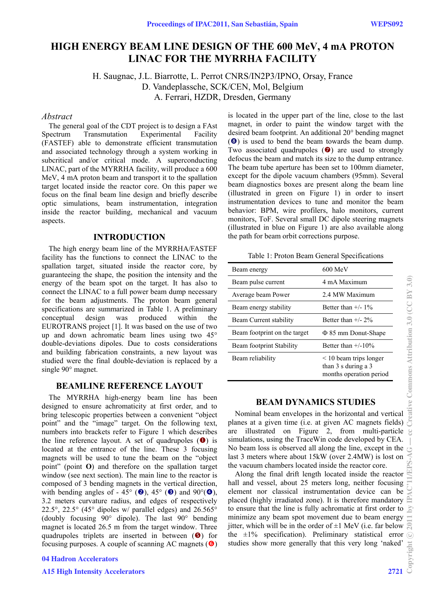# **HIGH ENERGY BEAM LINE DESIGN OF THE 600 MeV, 4 mA PROTON LINAC FOR THE MYRRHA FACILITY**

H. Saugnac, J.L. Biarrotte, L. Perrot CNRS/IN2P3/IPNO, Orsay, France D. Vandeplassche, SCK/CEN, Mol, Belgium A. Ferrari, HZDR, Dresden, Germany

### *Abstract*

The general goal of the CDT project is to design a FAst Spectrum Transmutation Experimental Facility (FASTEF) able to demonstrate efficient transmutation and associated technology through a system working in subcritical and/or critical mode. A superconducting LINAC, part of the MYRRHA facility, will produce a 600 MeV, 4 mA proton beam and transport it to the spallation target located inside the reactor core. On this paper we focus on the final beam line design and briefly describe optic simulations, beam instrumentation, integration inside the reactor building, mechanical and vacuum aspects.

# **INTRODUCTION**

The high energy beam line of the MYRRHA/FASTEF facility has the functions to connect the LINAC to the spallation target, situated inside the reactor core, by guaranteeing the shape, the position the intensity and the energy of the beam spot on the target. It has also to connect the LINAC to a full power beam dump necessary for the beam adjustments. The proton beam general specifications are summarized in Table 1. A preliminary conceptual design was produced within the EUROTRANS project [1]. It was based on the use of two up and down achromatic beam lines using two 45° double-deviations dipoles. Due to costs considerations and building fabrication constraints, a new layout was studied were the final double-deviation is replaced by a single 90° magnet.

# **BEAMLINE REFERENCE LAYOUT**

The MYRRHA high-energy beam line has been designed to ensure achromaticity at first order, and to bring telescopic properties between a convenient "object point" and the "image" target. On the following text, numbers into brackets refer to Figure 1 which describes the line reference layout. A set of quadrupoles  $(\bullet)$  is located at the entrance of the line. These 3 focusing magnets will be used to tune the beam on the "object point" (point **O**) and therefore on the spallation target window (see next section). The main line to the reactor is composed of 3 bending magnets in the vertical direction, with bending angles of - 45 $\degree$  (2), 45 $\degree$  (3) and 90 $\degree$ (4), 3.2 meters curvature radius, and edges of respectively 22.5°, 22.5° (45° dipoles w/ parallel edges) and  $26.565$ ° (doubly focusing 90° dipole). The last 90° bending magnet is located 26.5 m from the target window. Three quadrupoles triplets are inserted in between  $(\bullet)$  for focusing purposes. A couple of scanning AC magnets  $(\bullet)$  is located in the upper part of the line, close to the last magnet, in order to paint the window target with the desired beam footprint. An additional 20° bending magnet (<sup>3</sup>) is used to bend the beam towards the beam dump. Two associated quadrupoles  $\odot$  are used to strongly defocus the beam and match its size to the dump entrance. The beam tube aperture has been set to 100mm diameter, except for the dipole vacuum chambers (95mm). Several beam diagnostics boxes are present along the beam line (illustrated in green on Figure 1) in order to insert instrumentation devices to tune and monitor the beam behavior: BPM, wire profilers, halo monitors, current monitors, ToF. Several small DC dipole steering magnets (illustrated in blue on Figure 1) are also available along the path for beam orbit corrections purpose.

Table 1: Proton Beam General Specifications

| Beam energy                  | $600$ MeV                                                                                     |
|------------------------------|-----------------------------------------------------------------------------------------------|
| Beam pulse current           | 4 mA Maximum                                                                                  |
| Average beam Power           | 2.4 MW Maximum                                                                                |
| Beam energy stability        | Better than $+/- 1\%$                                                                         |
| Beam Current stability       | Better than $+/- 2\%$                                                                         |
| Beam footprint on the target | $\Phi$ 85 mm Donut-Shape                                                                      |
| Beam footprint Stability     | Better than $+/-10\%$                                                                         |
| Beam reliability             | $\leq$ 10 beam trips longer<br>than $3 \times$ during a $3 \times$<br>months operation period |

# **BEAM DYNAMICS STUDIES**

Nominal beam envelopes in the horizontal and vertical planes at a given time (i.e. at given AC magnets fields) are illustrated on Figure 2, from multi-particle simulations, using the TraceWin code developed by CEA. No beam loss is observed all along the line, except in the last 3 meters where about 15kW (over 2.4MW) is lost on the vacuum chambers located inside the reactor core.

Along the final drift length located inside the reactor hall and vessel, about 25 meters long, neither focusing element nor classical instrumentation device can be placed (highly irradiated zone). It is therefore mandatory to ensure that the line is fully achromatic at first order to minimize any beam spot movement due to beam energy jitter, which will be in the order of  $\pm 1$  MeV (i.e. far below  $\approx$ the  $\pm 1\%$  specification). Preliminary statistical error studies show more generally that this very long 'naked'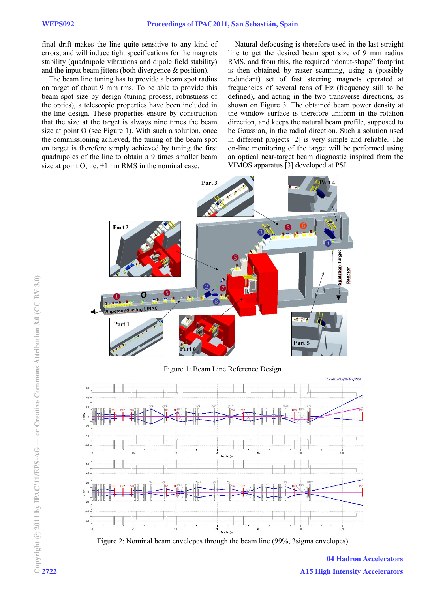final drift makes the line quite sensitive to any kind of errors, and will induce tight specifications for the magnets stability (quadrupole vibrations and dipole field stability) and the input beam jitters (both divergence & position).

The beam line tuning has to provide a beam spot radius on target of about 9 mm rms. To be able to provide this beam spot size by design (tuning process, robustness of the optics), a telescopic properties have been included in the line design. These properties ensure by construction that the size at the target is always nine times the beam size at point O (see Figure 1). With such a solution, once the commissioning achieved, the tuning of the beam spot on target is therefore simply achieved by tuning the first quadrupoles of the line to obtain a 9 times smaller beam size at point O, i.e.  $\pm 1$ mm RMS in the nominal case.

Natural defocusing is therefore used in the last straight line to get the desired beam spot size of 9 mm radius RMS, and from this, the required "donut-shape" footprint is then obtained by raster scanning, using a (possibly redundant) set of fast steering magnets operated at frequencies of several tens of Hz (frequency still to be defined), and acting in the two transverse directions, as shown on Figure 3. The obtained beam power density at the window surface is therefore uniform in the rotation direction, and keeps the natural beam profile, supposed to be Gaussian, in the radial direction. Such a solution used in different projects [2] is very simple and reliable. The on-line monitoring of the target will be performed using an optical near-target beam diagnostic inspired from the VIMOS apparatus [3] developed at PSI.



Figure 1: Beam Line Reference Design





04 Hadron Accelerators A15 High Intensity Accelerators